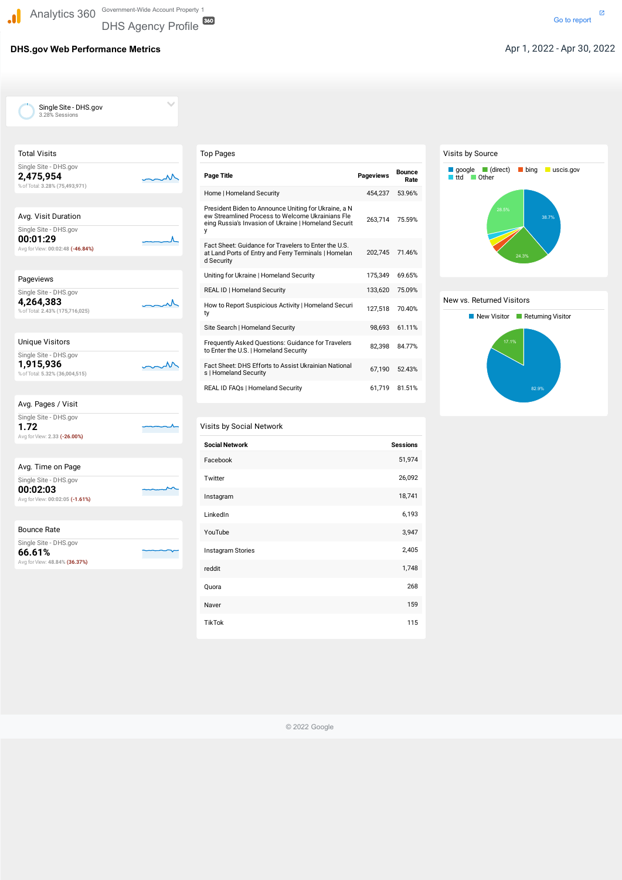## **DHS.gov Web Performance Metrics** Apr 1, 2022 - Apr 30, 2022

DHS Agency Profile

 $\checkmark$ 

| <b>Total Visits</b>                                                  |  |
|----------------------------------------------------------------------|--|
| Single Site - DHS.gov<br>2,475,954<br>% of Total: 3.28% (75,493,971) |  |
| Avg. Visit Duration                                                  |  |
| Single Site - DHS.gov                                                |  |
| 00:01:29<br>Avg for View: 00:02:48 (-46.84%)                         |  |
|                                                                      |  |
| Pageviews                                                            |  |
| Single Site - DHS.gov                                                |  |
| 4,264,383<br>% of Total: 2.43% (175,716,025)                         |  |
|                                                                      |  |
| <b>Unique Visitors</b>                                               |  |
| Single Site - DHS.gov<br>1,915,936<br>% of Total: 5.32% (36,004,515) |  |
|                                                                      |  |
| Avg. Pages / Visit                                                   |  |
| Single Site - DHS.gov<br>1.72                                        |  |
| Avg for View: 2.33 (-26.00%)                                         |  |
|                                                                      |  |
| Avg. Time on Page                                                    |  |
| Single Site - DHS.gov<br>00:02:03                                    |  |
| Avg for View: 00:02:05 (-1.61%)                                      |  |
|                                                                      |  |
| <b>Bounce Rate</b>                                                   |  |
| Single Site - DHS.gov<br>66.61%                                      |  |
| Avg for View: 48.84% (36.37%)                                        |  |

## Visits by Social Network

#### Visits by Source

### New vs. Returned Visitors

 Single Site - DHS.gov 3.28% Sessions

 $\cdot$ 

| Top Pages                                                                                                                                                             |                  |                       |
|-----------------------------------------------------------------------------------------------------------------------------------------------------------------------|------------------|-----------------------|
| <b>Page Title</b>                                                                                                                                                     | <b>Pageviews</b> | <b>Bounce</b><br>Rate |
| Home   Homeland Security                                                                                                                                              | 454.237          | 53.96%                |
| President Biden to Announce Uniting for Ukraine, a N<br>ew Streamlined Process to Welcome Ukrainians Fle<br>eing Russia's Invasion of Ukraine   Homeland Securit<br>у | 263,714          | 75.59%                |
| Fact Sheet: Guidance for Travelers to Enter the U.S.<br>at Land Ports of Entry and Ferry Terminals   Homelan<br>d Security                                            | 202,745          | 71.46%                |
| Uniting for Ukraine   Homeland Security                                                                                                                               | 175,349          | 69.65%                |
| <b>REAL ID   Homeland Security</b>                                                                                                                                    | 133,620          | 75.09%                |
| How to Report Suspicious Activity   Homeland Securi<br>ty                                                                                                             | 127,518          | 70.40%                |
| Site Search   Homeland Security                                                                                                                                       | 98.693           | 61.11%                |
| Frequently Asked Questions: Guidance for Travelers<br>to Enter the U.S.   Homeland Security                                                                           | 82,398           | 84.77%                |
| Fact Sheet: DHS Efforts to Assist Ukrainian National<br>s   Homeland Security                                                                                         | 67,190           | 52.43%                |
| REAL ID FAQs   Homeland Security                                                                                                                                      | 61,719           | 81.51%                |

| <b>Social Network</b> | <b>Sessions</b> |
|-----------------------|-----------------|
| Facebook              | 51,974          |
| Twitter               | 26,092          |
| Instagram             | 18,741          |
| LinkedIn              | 6,193           |
| YouTube               | 3,947           |
| Instagram Stories     | 2,405           |
| reddit                | 1,748           |
| Quora                 | 268             |



© 2022 Google



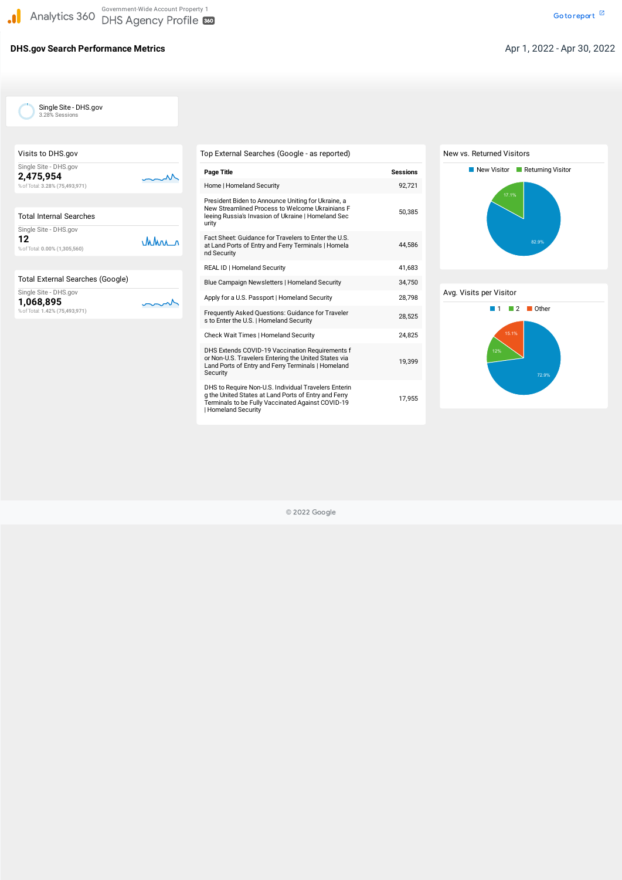# **DHS.gov Search Performance Metrics Contract Aproximate Aproximate Apr 1, 2022 - Apr 30, 2022**

Single Site - DHS.gov<br>3.28% Sessions<br>to DHS.gov 3.28% Sessions

| Visits to DHS.gov              |
|--------------------------------|
| Single Site - DHS.gov          |
| 2,475,954                      |
| % of Total: 3.28% (75,493,971) |
|                                |
|                                |

| <b>Total Internal Searches</b>                               |      |
|--------------------------------------------------------------|------|
| Single Site - DHS.gov<br>12<br>% of Total: 0.00% (1,305,560) | Mars |
|                                                              |      |

 $\sim$ 

mm

Single Site - DHS.gov

 %ofTotal: **1.42% (75,493,971)** ingle<br>06,<br>of Tota **1,068,895**





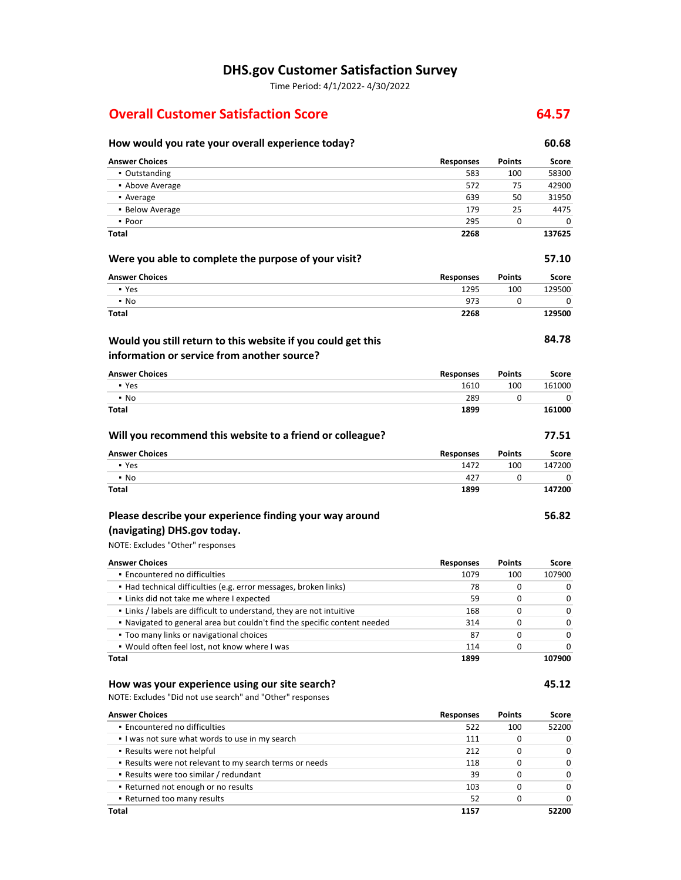# **DHS.gov Customer Satisfaction Survey**

Time Period: 4/1/2022- 4/30/2022

## **Overall Customer Satisfaction Score 64.57 <b>64.57**

| How would you rate your overall experience today?                         |                  |               | 60.68  |
|---------------------------------------------------------------------------|------------------|---------------|--------|
| <b>Answer Choices</b>                                                     | <b>Responses</b> | <b>Points</b> | Score  |
| • Outstanding                                                             | 583              | 100           | 58300  |
| • Above Average                                                           | 572              | 75            | 42900  |
| • Average                                                                 | 639              | 50            | 31950  |
| • Below Average                                                           | 179              | 25            | 4475   |
| • Poor                                                                    | 295              | 0             | 0      |
| Total                                                                     | 2268             |               | 137625 |
| Were you able to complete the purpose of your visit?                      |                  |               | 57.10  |
| <b>Answer Choices</b>                                                     | <b>Responses</b> | Points        | Score  |
| • Yes                                                                     | 1295             | 100           | 129500 |
| $\cdot$ No                                                                | 973              | 0             | 0      |
| Total                                                                     | 2268             |               | 129500 |
| Would you still return to this website if you could get this              |                  |               | 84.78  |
| information or service from another source?                               |                  |               |        |
| <b>Answer Choices</b>                                                     | Responses        | Points        | Score  |
| • Yes                                                                     | 1610             | 100           | 161000 |
| $\cdot$ No                                                                | 289              | 0             | 0      |
| <b>Total</b>                                                              | 1899             |               | 161000 |
| Will you recommend this website to a friend or colleague?                 |                  |               | 77.51  |
| <b>Answer Choices</b>                                                     | <b>Responses</b> | <b>Points</b> | Score  |
| • Yes                                                                     | 1472             | 100           | 147200 |
| $\cdot$ No                                                                | 427              | 0             | 0      |
| Total                                                                     | 1899             |               | 147200 |
| Please describe your experience finding your way around                   |                  |               | 56.82  |
| (navigating) DHS.gov today.                                               |                  |               |        |
| NOTE: Excludes "Other" responses                                          |                  |               |        |
| <b>Answer Choices</b>                                                     | <b>Responses</b> | <b>Points</b> | Score  |
| • Encountered no difficulties                                             | 1079             | 100           | 107900 |
| • Had technical difficulties (e.g. error messages, broken links)          | 78               | 0             | 0      |
| . Links did not take me where I expected                                  | 59               | 0             | 0      |
| . Links / labels are difficult to understand, they are not intuitive      | 168              | 0             | 0      |
| . Navigated to general area but couldn't find the specific content needed | 314              | 0             | 0      |
| • Too many links or navigational choices                                  | 87               | 0             | 0      |
| • Would often feel lost, not know where I was                             | 114              | 0             | 0      |
| Total                                                                     | 1899             |               | 107900 |
| How was your experience using our site search?                            |                  |               | 45.12  |
| NOTE: Excludes "Did not use search" and "Other" responses                 |                  |               |        |
| <b>Answer Choices</b>                                                     | <b>Responses</b> | Points        | Score  |
| · Encountered no difficulties                                             | 522              | 100           | 52200  |
| . I was not sure what words to use in my search                           | 111              | 0             | 0      |
| . Results were not helpful                                                | 212              | 0             | 0      |
| . Results were not relevant to my search terms or needs                   | 118              | 0             | 0      |
| - Results were too similar / redundant                                    | 39               | 0             | 0      |
| • Returned not enough or no results                                       | 103              | 0             | 0      |

▪ Returned too many results

 $\overline{0}$ **52200** 

52 **1157**   $\pmb{0}$